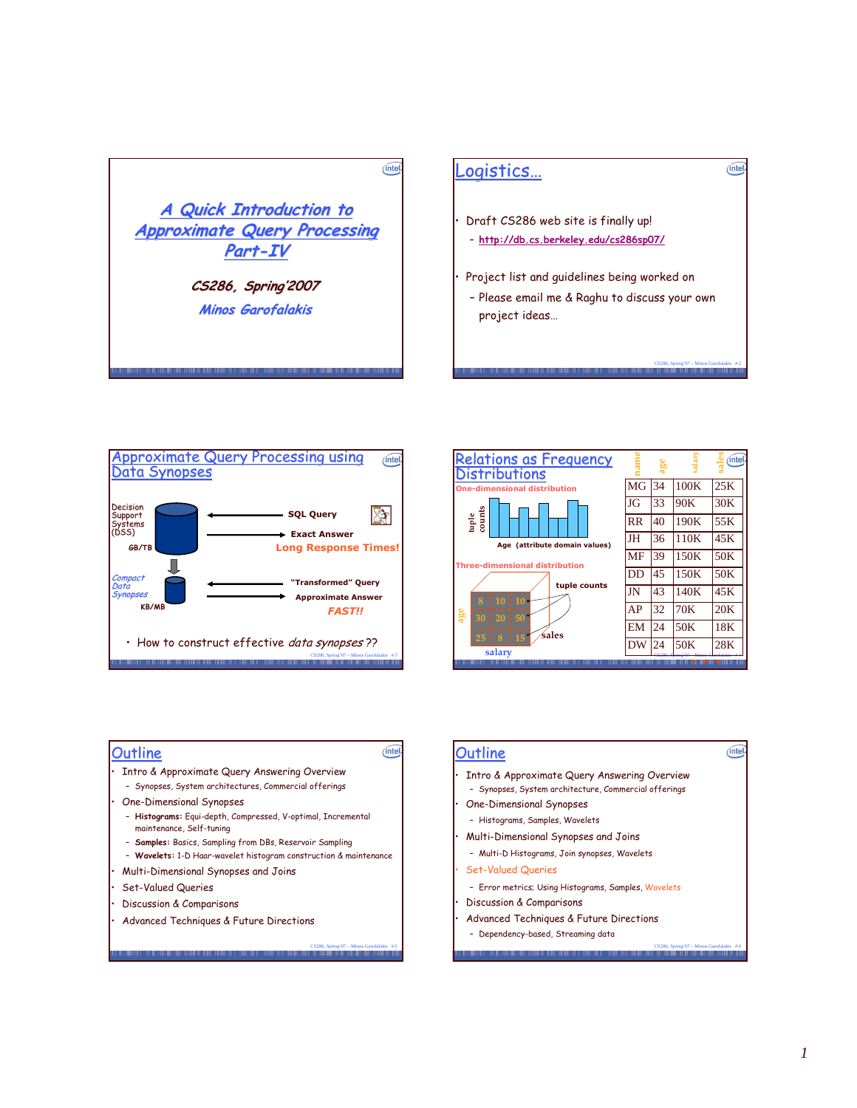







# **Outline**

- Intro & Approximate Query Answering Overview
	- Synopses, System architectures, Commercial offerings
- One-Dimensional Synopses
	- Hi**stograms:** Equi-depth, Compressed, V-optimal, Incremental maintenance, Self-tuning
	- **Samples:** Basics, Sampling from DBs, Reservoir Sampling
	- Wavelets: 1-D Haar-wavelet histogram construction & maintenance

CS286, Spring 07 – Minos Garoranas<br>|

 $(intel)$ 

- $\cdot$  Multi-Dimensional Synopses and Joins
- Set-Valued Queries
- Discussion & Comparisons
- $\cdot$  Advanced Techniques & Future Directions

## **Outline**

- Intro & Approximate Query Answering Overview
- Synopses, System architecture, Commercial offerings
- One-Dimensional Synopses
	- Histograms, Samples, Wavelets
- $\cdot$  Multi-Dimensional Synopses and Joins
- Multi-D Histograms, Join synopses, Wavelets
- Set-Valued Queries
- Error metrics; Using Histograms, Samples, Wavelets

CS286, Spring'07 – Minos Garofalakis # 6

 $(intel)$ 

- Discussion & Comparisons
- Advanced Techniques & Future Directions
	- Dependency-based, Streaming data **THEFT ETH TH**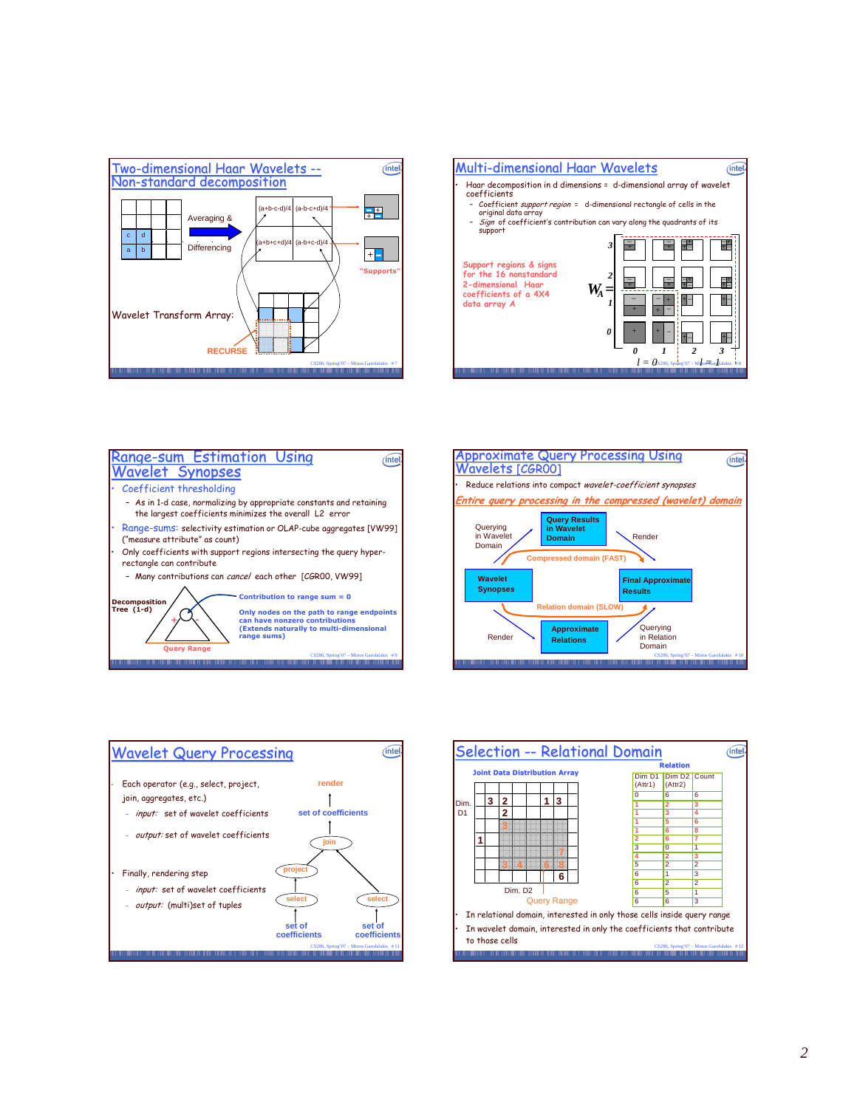









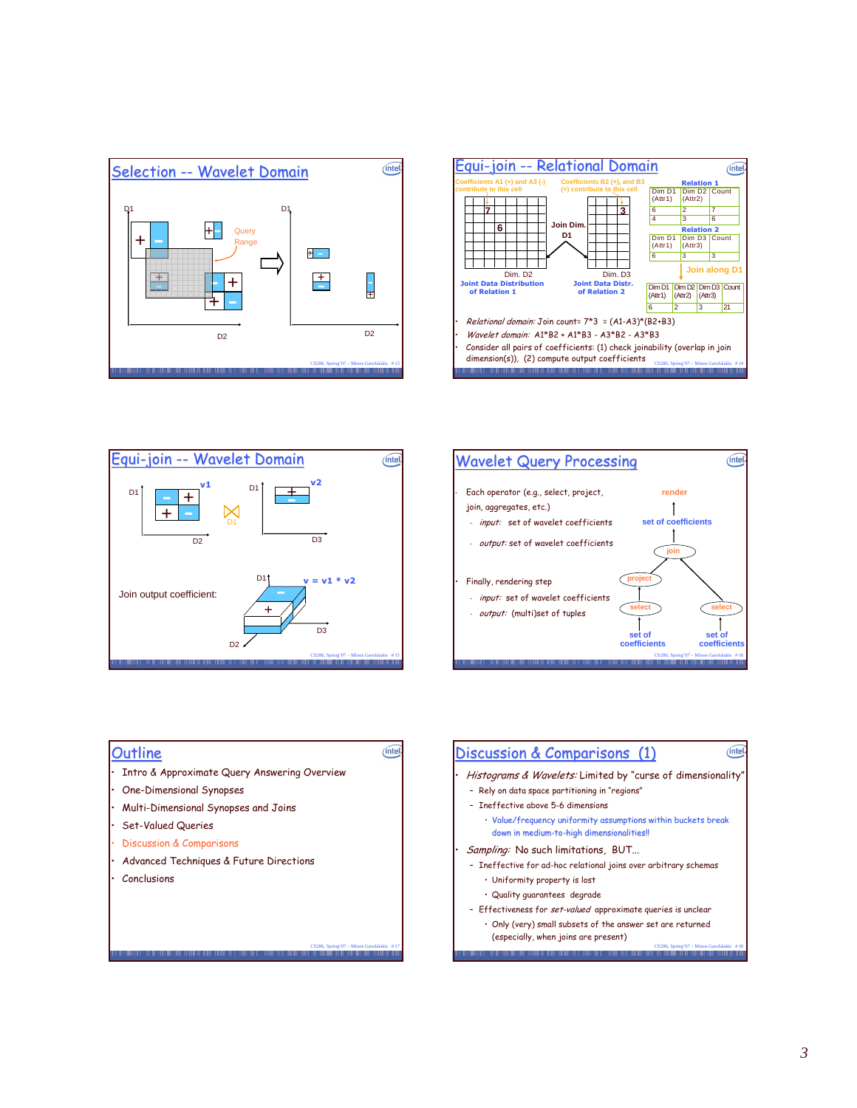







# **Outline**

• Intro & Approximate Query Answering Overview

 $(intel)$ 

- One-Dimensional Synopses
- $\cdot$  Multi-Dimensional Synopses and Joins
- Set-Valued Queries
- Discussion & Comparisons
- Advanced Techniques & Future Directions

CS286, Spring'07 – Minos Garofalakis # 17 Minos Minos Minos Minos Minos Minos Minos Minos Garofalakis # 17 Minos

• Conclusions

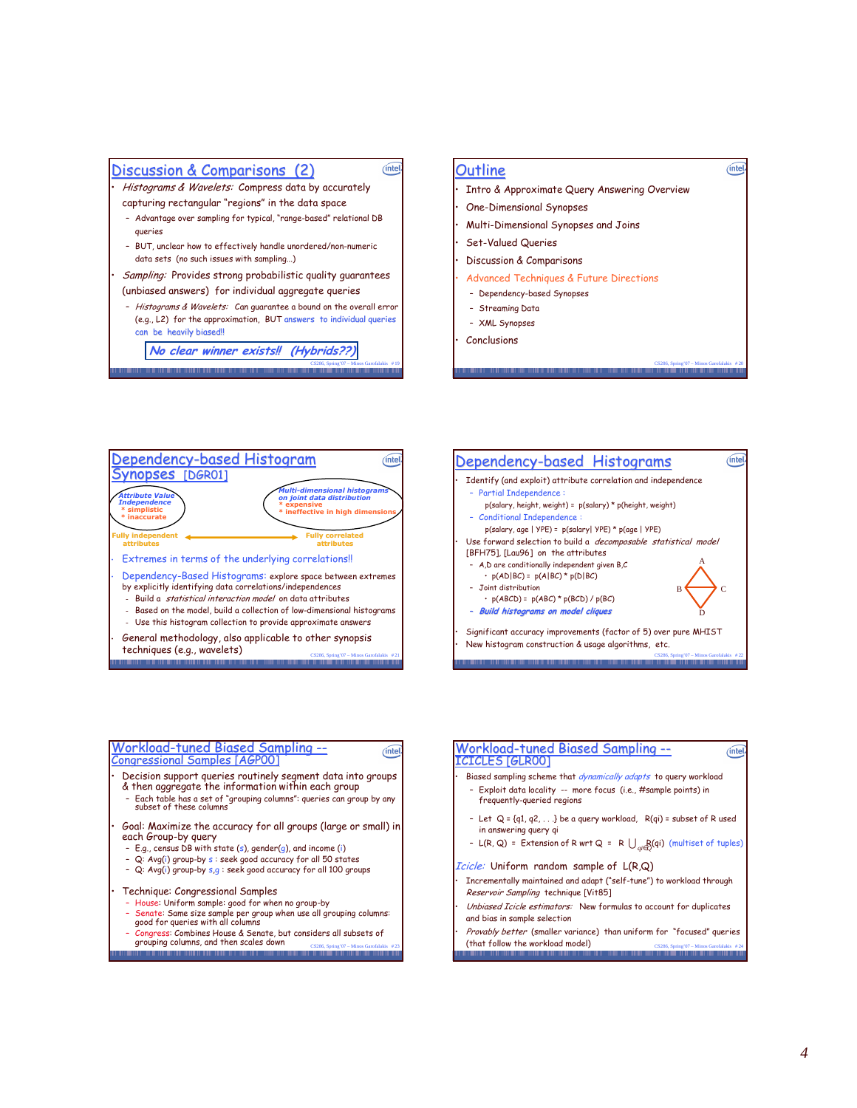## <u>Discussion & Comparisons (2)</u>

• *Histograms & Wavelets: C*ompress data by accurately

- capturing rectangular "regions" in the data space - Advantage over sampling for typical, "range-based" relational DB queries
- BUT, unclear how to effectively handle unordered/non-numeric data sets (no such issues with sampling...)

• *Sampling:* Provides strong probabilistic quality guarantees (unbiased answers) for individual aggregate queries

- *Histograms & Wavelets:* Can guarantee a bound on the overall error (e.g., L2) for the approximation, BUT answers to individual queries can be heavily biased!!

No clear winner exists!! (Hybrids??)

CS286, Spring'07 – Minos Garofalakis # 19

## **Outline**

 $(intel)$ 

 $(intel)$ 

- Intro & Approximate Query Answering Overview
- $\cdot$  One-Dimensional Synopses
- $\cdot$  Multi-Dimensional Synopses and Joins
- Set-Valued Queries
- Discussion & Comparisons
- Advanced Techniques & Future Directions
	- Dependency-based Synopses
	- Streaming Data
- XML Synopses
- Conclusions

<u> Dependency-based Histogran</u>  $(intel)$ Synopses [DGR01] Multi-dimensional histograms<br>on joint data distribution Attribute Value e **Independence** \* expensive<br>\* ineffective in high dimensions, \* simplistic \* inaccurate **Fully independent Fully correlated<br>attributes** attributes  $\cdot$  Extremes in terms of the underlying correlations!! · Dependency-Based Histograms: explore space between extremes by explicitly identifying data correlations/independences - Build a *statistical interaction model* on data attributes -  $\,$  Based on the model, build a collection of low-dimensional histograms - Use this histogram collection to provide approximate answers  $\cdot$  General methodology, also applicable to other synopsis techniques (e.g., wavelets) CS286, Spring'07 – Minos Garofalakis # 21



CS286, Spring'07 - Minos Garofalakis # 20

 $(intel)$ 

 $(inte)$ 

# <u>Workload-tuned Biased Sampling --</u><br><u>Congressional Samples [AGP00]</u>

- $\cdot$  Decision support queries routinely segment data into groups  $\&$  then aggregate the information within each group
	- Each table has a set of "grouping columns": queries can group by any subset of these columns
- $\cdot$  Goal: Maximize the accuracy for all groups (large or small) in each Group-by query
	- $\,$  E.g., census DB with state (s), gender(g), and income (i)
	- Q: Avg(i) group-by s : seek good accuracy for all 50 states
	- Q: Avg(i) group-by s,g : seek good accuracy for all 100 groups

#### $\cdot$  Technique: Congressional Samples

- House: Uniform sample: good for when no group-by
- Senate: Same size sample per group when use all grouping columns: good for queries with all columns
- Congress: Combines House & Senate, but considers all subsets of<br>grouping columns, and then scales down <sub>cs286, Spring'07-Minos Garofalakis #23</sub>

#### <u>Workload-tuned Biased Sampling --</u> **ICICLES [GLROO]**

- Biased sampling scheme that *dynamically adapts* to query workload
- Exploit data locality -- more focus (i.e., #sample points) in frequently-queried regions
- Let  $\,$  Q = {q1, q2,  $\,$  . . .} be a query workload,  $\,$  R(qi) = subset of R used in answering query qi
- L(R, Q) = Extension of R wrt Q = R ∪<sub>qi∈</sub>Q(qi) (multiset of tuples)

#### *Icicle:* Uniform random sample of L(R,Q)

- $\;$  Incrementally maintained and adapt ("self-tune") to workload through *Reservoir Sampling* technique [Vit85]
- Unbiased Icicle estimators: New formulas to account for duplicates and bias in sample selection
- CS286, Spring'07 Minos Garofalakis # 244 Animas # 244 Animas # 244 Animas # 244 Animas # 244 Animas # 244 Animas # 244 Animas # 244 Animas # 244 Animas # 244 Animas # 244 Animas # 244 Animas # 244 Animas # 244 Animas # 2 • Provably better (smaller variance) than uniform for "focused" queries (that follow the workload model)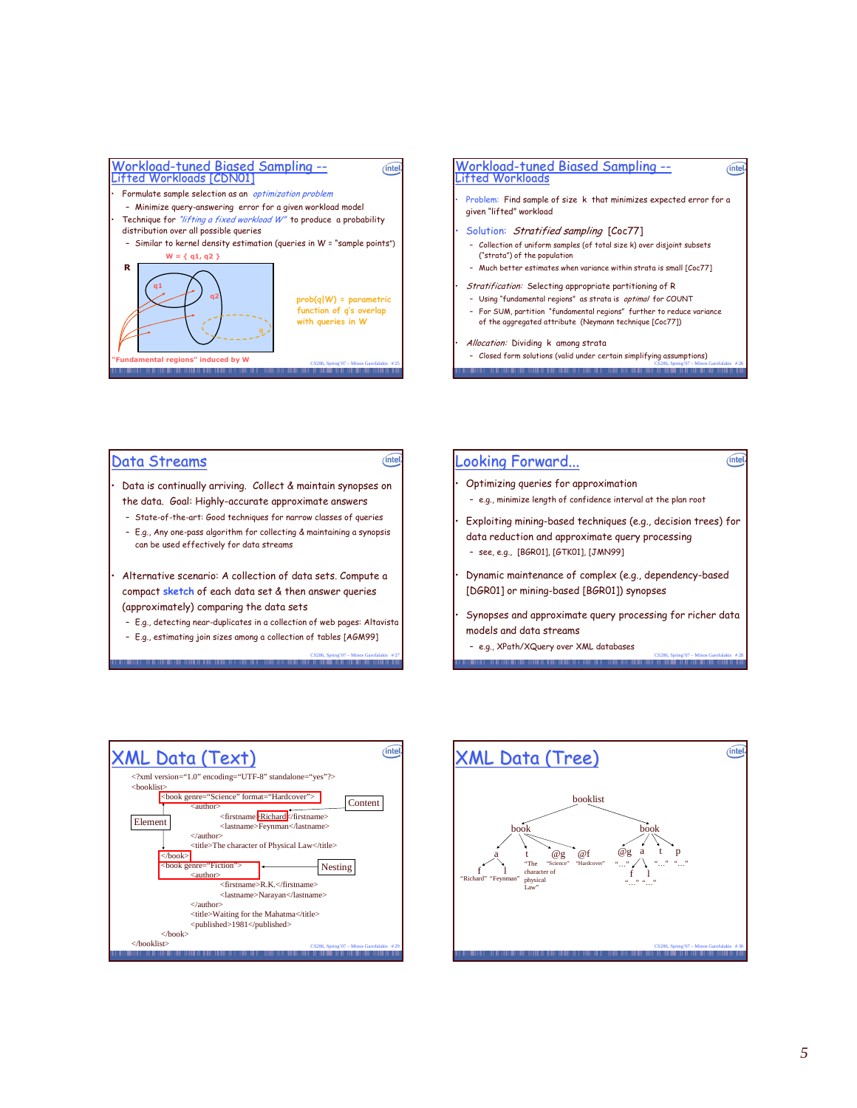



## <u> Data Streams</u>

 $\cdot$   $\,$  Data is continually arriving.  $\,$  Collect & maintain synopses on the data. Goal: Highly-accurate approximate answers

- State-of-the-art: Good techniques for narrow classes of queries
- E.g., Any one-pass algorithm for collecting & maintaining a synopsis can be used effectively for data streams

-  $\,$  Alternative scenario: A collection of data sets. Compute a compact sketch of each data set & then answer queries (approximately) comparing the data sets

– E.g., detecting near-duplicates in a collection of web pages: Altavista

CS286, Spring'07 – Minos Garofalakis # 27

(intel)

– E.g., estimating join sizes among a collection of tables [AGM99]

## <u>Looking Forward...</u>

 $\cdot$   $\,$  Optimizing queries for approximation

- e.g., minimize length of confidence interval at the plan root
- $\cdot$  Exploiting mining-based techniques (e.g., decision trees) for data reduction and approximate query processing - see, e.g., [BGR01], [GTK01], [JMN99]
- $\:$  Dynamic maintenance of complex (e.g., dependency-based [DGR01] or mining-based [BGR01]) synopses
- $\cdot$  Synopses and approximate query processing for richer data models and data streams

CS286, Spring'07 – Minos Garofalakis # 28

 $(intel)$ 

- e.g., XPath/XQuery over XML databases . . . . . . . . .



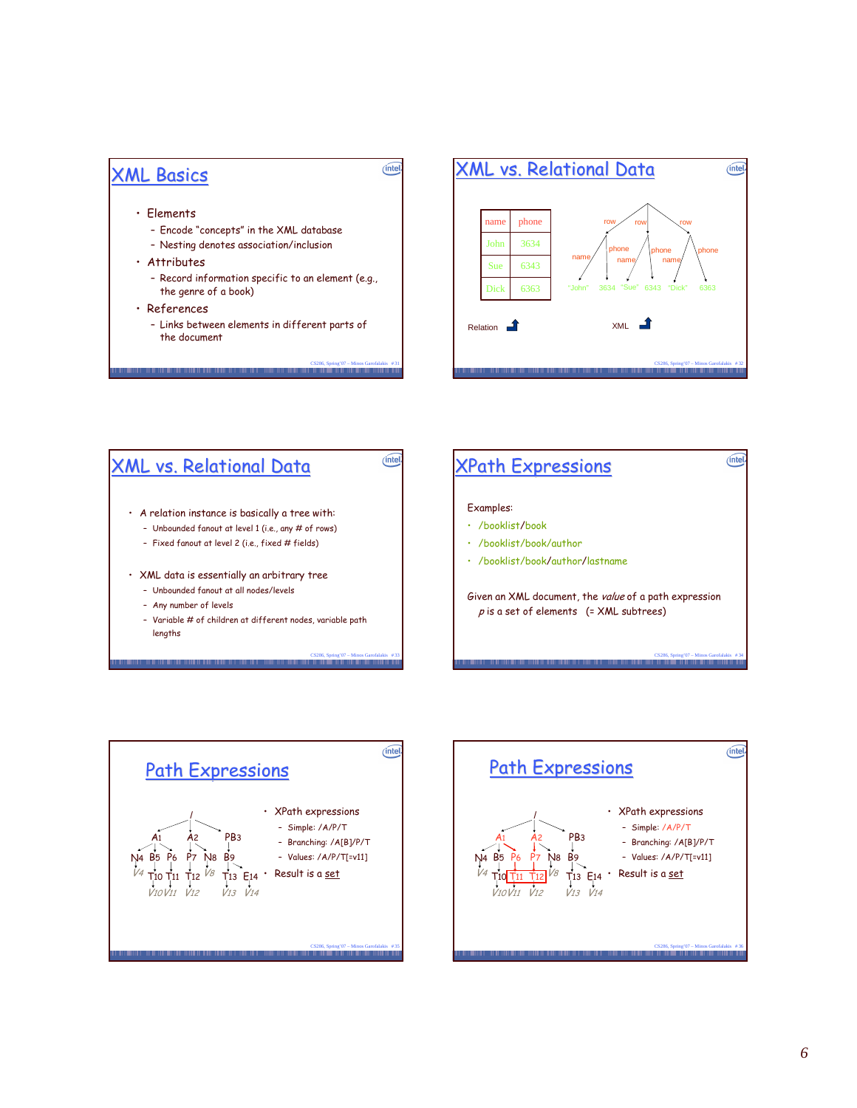